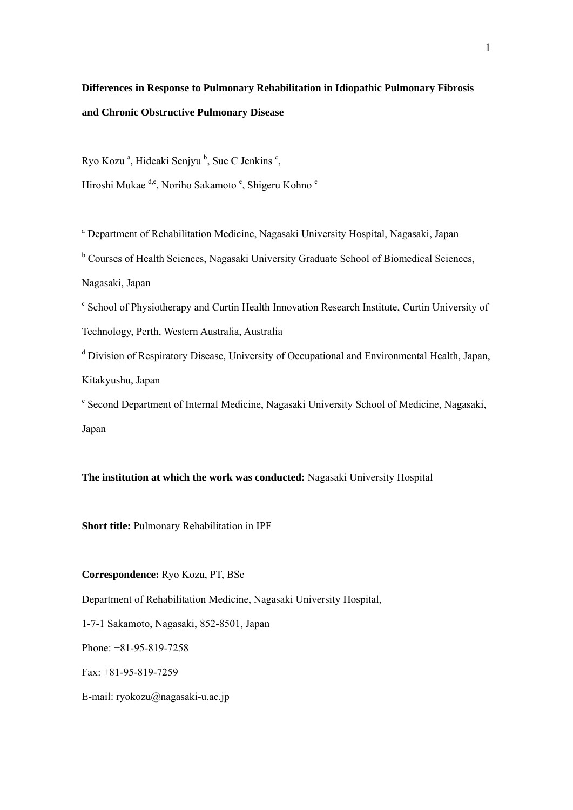# **Differences in Response to Pulmonary Rehabilitation in Idiopathic Pulmonary Fibrosis and Chronic Obstructive Pulmonary Disease**

Ryo Kozu<sup>a</sup>, Hideaki Senjyu<sup>b</sup>, Sue C Jenkins<sup>c</sup>,

Hiroshi Mukae <sup>d,e</sup>, Noriho Sakamoto<sup>e</sup>, Shigeru Kohno<sup>e</sup>

<sup>a</sup> Department of Rehabilitation Medicine, Nagasaki University Hospital, Nagasaki, Japan

<sup>b</sup> Courses of Health Sciences, Nagasaki University Graduate School of Biomedical Sciences,

Nagasaki, Japan

<sup>c</sup> School of Physiotherapy and Curtin Health Innovation Research Institute, Curtin University of Technology, Perth, Western Australia, Australia

<sup>d</sup> Division of Respiratory Disease, University of Occupational and Environmental Health, Japan, Kitakyushu, Japan

e Second Department of Internal Medicine, Nagasaki University School of Medicine, Nagasaki, Japan

**The institution at which the work was conducted:** Nagasaki University Hospital

**Short title:** Pulmonary Rehabilitation in IPF

**Correspondence:** Ryo Kozu, PT, BSc

Department of Rehabilitation Medicine, Nagasaki University Hospital,

1-7-1 Sakamoto, Nagasaki, 852-8501, Japan

Phone: +81-95-819-7258

Fax: +81-95-819-7259

E-mail: ryokozu@nagasaki-u.ac.jp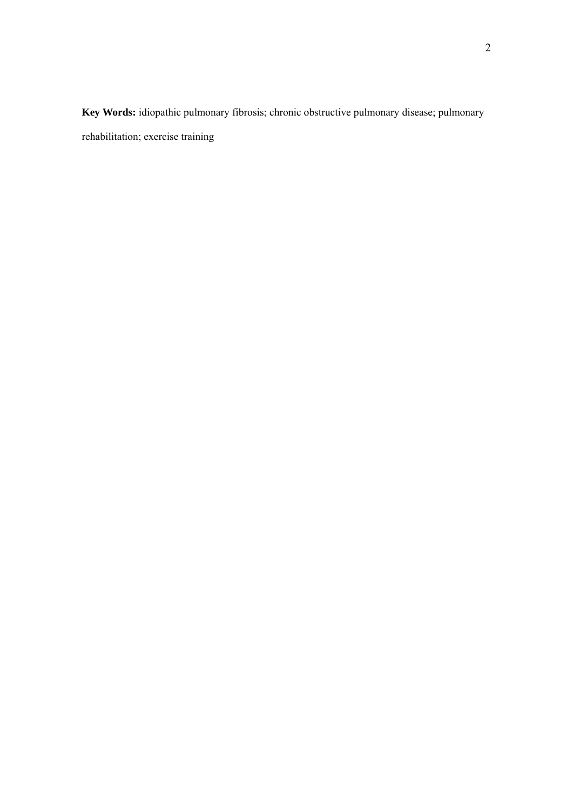**Key Words:** idiopathic pulmonary fibrosis; chronic obstructive pulmonary disease; pulmonary rehabilitation; exercise training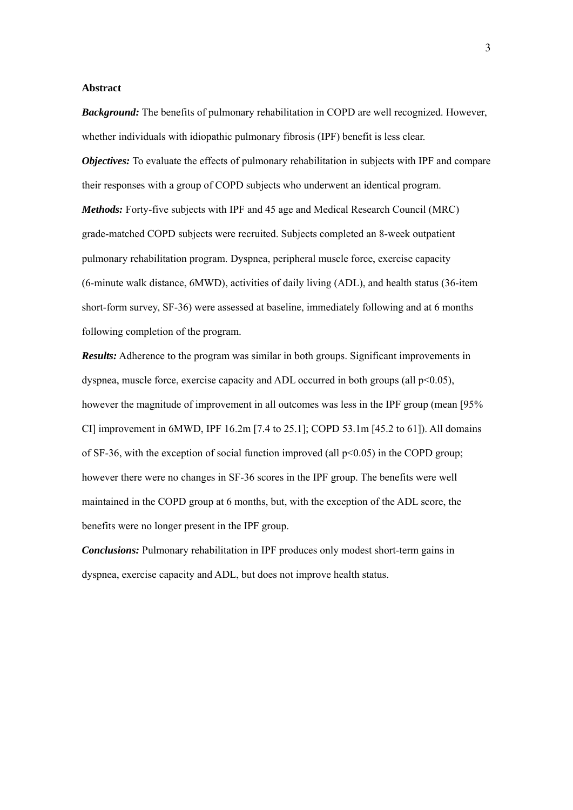#### **Abstract**

*Background:* The benefits of pulmonary rehabilitation in COPD are well recognized. However, whether individuals with idiopathic pulmonary fibrosis (IPF) benefit is less clear. *Objectives:* To evaluate the effects of pulmonary rehabilitation in subjects with IPF and compare their responses with a group of COPD subjects who underwent an identical program. *Methods:* Forty-five subjects with IPF and 45 age and Medical Research Council (MRC) grade-matched COPD subjects were recruited. Subjects completed an 8-week outpatient pulmonary rehabilitation program. Dyspnea, peripheral muscle force, exercise capacity (6-minute walk distance, 6MWD), activities of daily living (ADL), and health status (36-item short-form survey, SF-36) were assessed at baseline, immediately following and at 6 months following completion of the program.

*Results:* Adherence to the program was similar in both groups. Significant improvements in dyspnea, muscle force, exercise capacity and ADL occurred in both groups (all  $p<0.05$ ), however the magnitude of improvement in all outcomes was less in the IPF group (mean [95% CI] improvement in 6MWD, IPF 16.2m [7.4 to 25.1]; COPD 53.1m [45.2 to 61]). All domains of SF-36, with the exception of social function improved (all  $p<0.05$ ) in the COPD group; however there were no changes in SF-36 scores in the IPF group. The benefits were well maintained in the COPD group at 6 months, but, with the exception of the ADL score, the benefits were no longer present in the IPF group.

*Conclusions:* Pulmonary rehabilitation in IPF produces only modest short-term gains in dyspnea, exercise capacity and ADL, but does not improve health status.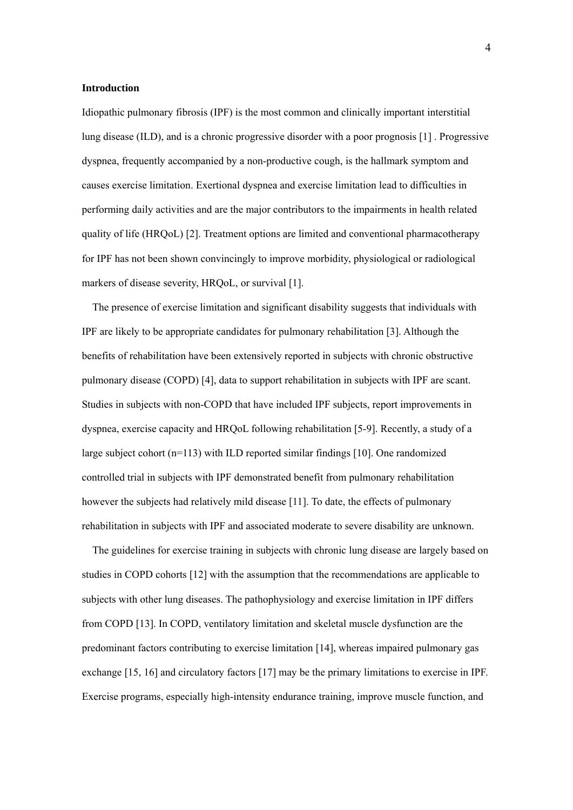#### **Introduction**

Idiopathic pulmonary fibrosis (IPF) is the most common and clinically important interstitial lung disease (ILD), and is a chronic progressive disorder with a poor prognosis [1] . Progressive dyspnea, frequently accompanied by a non-productive cough, is the hallmark symptom and causes exercise limitation. Exertional dyspnea and exercise limitation lead to difficulties in performing daily activities and are the major contributors to the impairments in health related quality of life (HRQoL) [2]. Treatment options are limited and conventional pharmacotherapy for IPF has not been shown convincingly to improve morbidity, physiological or radiological markers of disease severity, HRQoL, or survival [1].

The presence of exercise limitation and significant disability suggests that individuals with IPF are likely to be appropriate candidates for pulmonary rehabilitation [3]. Although the benefits of rehabilitation have been extensively reported in subjects with chronic obstructive pulmonary disease (COPD) [4], data to support rehabilitation in subjects with IPF are scant. Studies in subjects with non-COPD that have included IPF subjects, report improvements in dyspnea, exercise capacity and HRQoL following rehabilitation [5-9]. Recently, a study of a large subject cohort (n=113) with ILD reported similar findings [10]. One randomized controlled trial in subjects with IPF demonstrated benefit from pulmonary rehabilitation however the subjects had relatively mild disease [11]. To date, the effects of pulmonary rehabilitation in subjects with IPF and associated moderate to severe disability are unknown.

The guidelines for exercise training in subjects with chronic lung disease are largely based on studies in COPD cohorts [12] with the assumption that the recommendations are applicable to subjects with other lung diseases. The pathophysiology and exercise limitation in IPF differs from COPD [13]. In COPD, ventilatory limitation and skeletal muscle dysfunction are the predominant factors contributing to exercise limitation [14], whereas impaired pulmonary gas exchange [15, 16] and circulatory factors [17] may be the primary limitations to exercise in IPF. Exercise programs, especially high-intensity endurance training, improve muscle function, and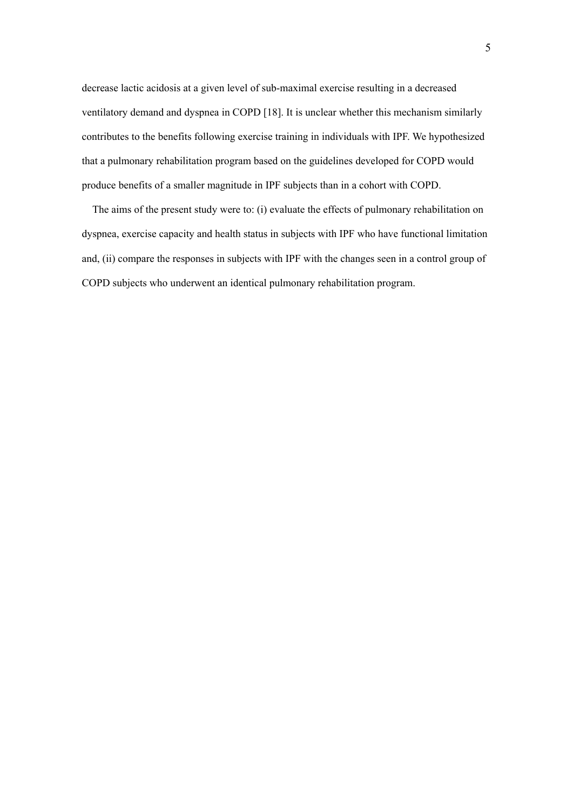decrease lactic acidosis at a given level of sub-maximal exercise resulting in a decreased ventilatory demand and dyspnea in COPD [18]. It is unclear whether this mechanism similarly contributes to the benefits following exercise training in individuals with IPF. We hypothesized that a pulmonary rehabilitation program based on the guidelines developed for COPD would produce benefits of a smaller magnitude in IPF subjects than in a cohort with COPD.

The aims of the present study were to: (i) evaluate the effects of pulmonary rehabilitation on dyspnea, exercise capacity and health status in subjects with IPF who have functional limitation and, (ii) compare the responses in subjects with IPF with the changes seen in a control group of COPD subjects who underwent an identical pulmonary rehabilitation program.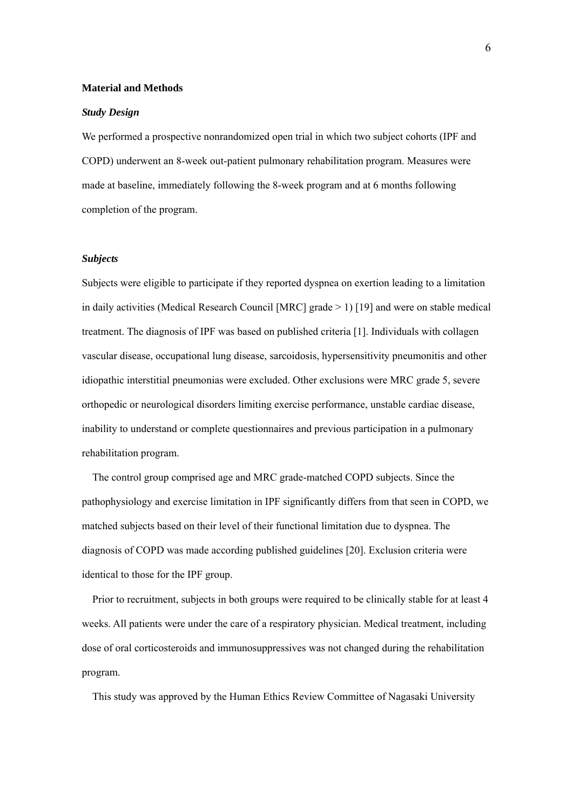#### **Material and Methods**

#### *Study Design*

We performed a prospective nonrandomized open trial in which two subject cohorts (IPF and COPD) underwent an 8-week out-patient pulmonary rehabilitation program. Measures were made at baseline, immediately following the 8-week program and at 6 months following completion of the program.

#### *Subjects*

Subjects were eligible to participate if they reported dyspnea on exertion leading to a limitation in daily activities (Medical Research Council [MRC] grade > 1) [19] and were on stable medical treatment. The diagnosis of IPF was based on published criteria [1]. Individuals with collagen vascular disease, occupational lung disease, sarcoidosis, hypersensitivity pneumonitis and other idiopathic interstitial pneumonias were excluded. Other exclusions were MRC grade 5, severe orthopedic or neurological disorders limiting exercise performance, unstable cardiac disease, inability to understand or complete questionnaires and previous participation in a pulmonary rehabilitation program.

The control group comprised age and MRC grade-matched COPD subjects. Since the pathophysiology and exercise limitation in IPF significantly differs from that seen in COPD, we matched subjects based on their level of their functional limitation due to dyspnea. The diagnosis of COPD was made according published guidelines [20]. Exclusion criteria were identical to those for the IPF group.

Prior to recruitment, subjects in both groups were required to be clinically stable for at least 4 weeks. All patients were under the care of a respiratory physician. Medical treatment, including dose of oral corticosteroids and immunosuppressives was not changed during the rehabilitation program.

This study was approved by the Human Ethics Review Committee of Nagasaki University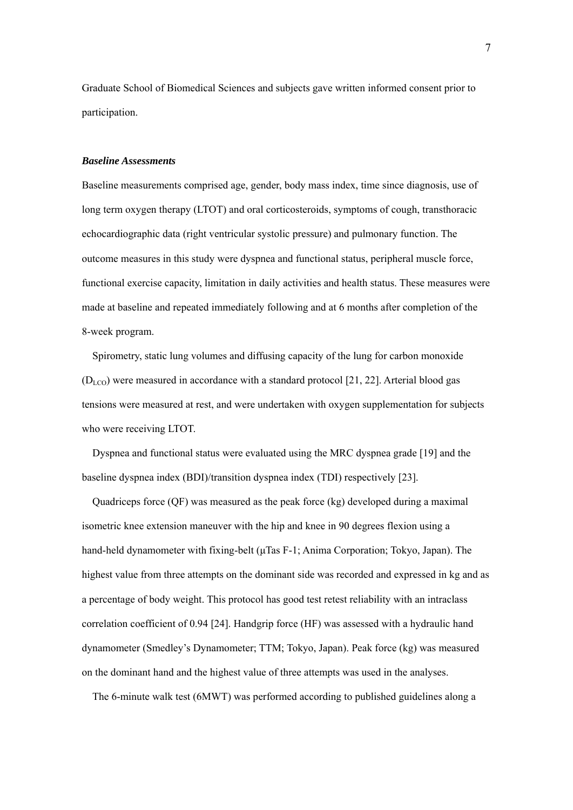Graduate School of Biomedical Sciences and subjects gave written informed consent prior to participation.

#### *Baseline Assessments*

Baseline measurements comprised age, gender, body mass index, time since diagnosis, use of long term oxygen therapy (LTOT) and oral corticosteroids, symptoms of cough, transthoracic echocardiographic data (right ventricular systolic pressure) and pulmonary function. The outcome measures in this study were dyspnea and functional status, peripheral muscle force, functional exercise capacity, limitation in daily activities and health status. These measures were made at baseline and repeated immediately following and at 6 months after completion of the 8-week program.

Spirometry, static lung volumes and diffusing capacity of the lung for carbon monoxide  $(D_{LCO})$  were measured in accordance with a standard protocol [21, 22]. Arterial blood gas tensions were measured at rest, and were undertaken with oxygen supplementation for subjects who were receiving LTOT.

Dyspnea and functional status were evaluated using the MRC dyspnea grade [19] and the baseline dyspnea index (BDI)/transition dyspnea index (TDI) respectively [23].

Quadriceps force (QF) was measured as the peak force (kg) developed during a maximal isometric knee extension maneuver with the hip and knee in 90 degrees flexion using a hand-held dynamometer with fixing-belt (μTas F-1; Anima Corporation; Tokyo, Japan). The highest value from three attempts on the dominant side was recorded and expressed in kg and as a percentage of body weight. This protocol has good test retest reliability with an intraclass correlation coefficient of 0.94 [24]. Handgrip force (HF) was assessed with a hydraulic hand dynamometer (Smedley's Dynamometer; TTM; Tokyo, Japan). Peak force (kg) was measured on the dominant hand and the highest value of three attempts was used in the analyses.

The 6-minute walk test (6MWT) was performed according to published guidelines along a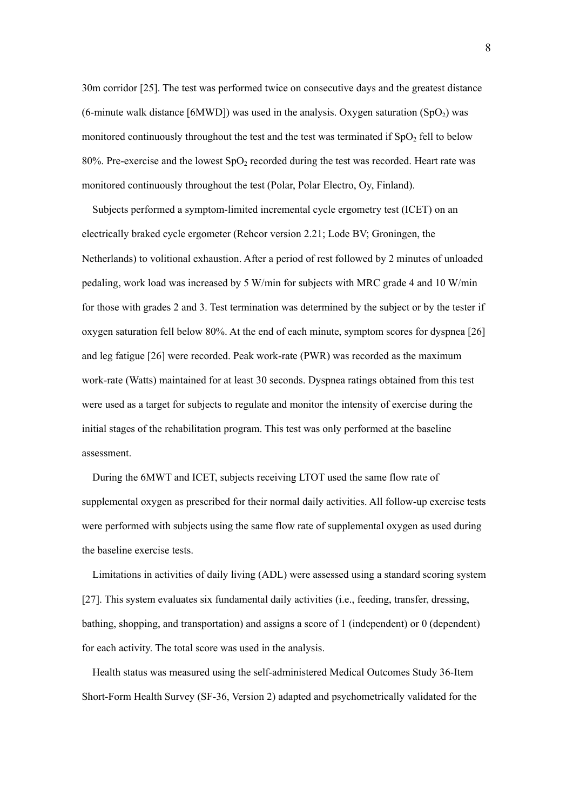30m corridor [25]. The test was performed twice on consecutive days and the greatest distance (6-minute walk distance [6MWD]) was used in the analysis. Oxygen saturation (SpO<sub>2</sub>) was monitored continuously throughout the test and the test was terminated if  $SpO<sub>2</sub>$  fell to below 80%. Pre-exercise and the lowest  $SpO<sub>2</sub>$  recorded during the test was recorded. Heart rate was monitored continuously throughout the test (Polar, Polar Electro, Oy, Finland).

Subjects performed a symptom-limited incremental cycle ergometry test (ICET) on an electrically braked cycle ergometer (Rehcor version 2.21; Lode BV; Groningen, the Netherlands) to volitional exhaustion. After a period of rest followed by 2 minutes of unloaded pedaling, work load was increased by 5 W/min for subjects with MRC grade 4 and 10 W/min for those with grades 2 and 3. Test termination was determined by the subject or by the tester if oxygen saturation fell below 80%. At the end of each minute, symptom scores for dyspnea [26] and leg fatigue [26] were recorded. Peak work-rate (PWR) was recorded as the maximum work-rate (Watts) maintained for at least 30 seconds. Dyspnea ratings obtained from this test were used as a target for subjects to regulate and monitor the intensity of exercise during the initial stages of the rehabilitation program. This test was only performed at the baseline assessment.

During the 6MWT and ICET, subjects receiving LTOT used the same flow rate of supplemental oxygen as prescribed for their normal daily activities. All follow-up exercise tests were performed with subjects using the same flow rate of supplemental oxygen as used during the baseline exercise tests.

Limitations in activities of daily living (ADL) were assessed using a standard scoring system [27]. This system evaluates six fundamental daily activities (i.e., feeding, transfer, dressing, bathing, shopping, and transportation) and assigns a score of 1 (independent) or 0 (dependent) for each activity. The total score was used in the analysis.

Health status was measured using the self-administered Medical Outcomes Study 36-Item Short-Form Health Survey (SF-36, Version 2) adapted and psychometrically validated for the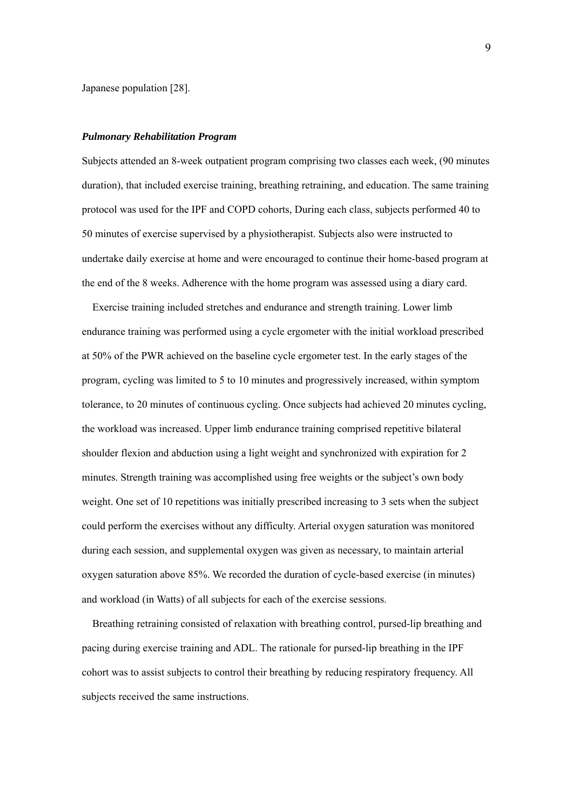Japanese population [28].

#### *Pulmonary Rehabilitation Program*

Subjects attended an 8-week outpatient program comprising two classes each week, (90 minutes duration), that included exercise training, breathing retraining, and education. The same training protocol was used for the IPF and COPD cohorts, During each class, subjects performed 40 to 50 minutes of exercise supervised by a physiotherapist. Subjects also were instructed to undertake daily exercise at home and were encouraged to continue their home-based program at the end of the 8 weeks. Adherence with the home program was assessed using a diary card.

Exercise training included stretches and endurance and strength training. Lower limb endurance training was performed using a cycle ergometer with the initial workload prescribed at 50% of the PWR achieved on the baseline cycle ergometer test. In the early stages of the program, cycling was limited to 5 to 10 minutes and progressively increased, within symptom tolerance, to 20 minutes of continuous cycling. Once subjects had achieved 20 minutes cycling, the workload was increased. Upper limb endurance training comprised repetitive bilateral shoulder flexion and abduction using a light weight and synchronized with expiration for 2 minutes. Strength training was accomplished using free weights or the subject's own body weight. One set of 10 repetitions was initially prescribed increasing to 3 sets when the subject could perform the exercises without any difficulty. Arterial oxygen saturation was monitored during each session, and supplemental oxygen was given as necessary, to maintain arterial oxygen saturation above 85%. We recorded the duration of cycle-based exercise (in minutes) and workload (in Watts) of all subjects for each of the exercise sessions.

Breathing retraining consisted of relaxation with breathing control, pursed-lip breathing and pacing during exercise training and ADL. The rationale for pursed-lip breathing in the IPF cohort was to assist subjects to control their breathing by reducing respiratory frequency. All subjects received the same instructions.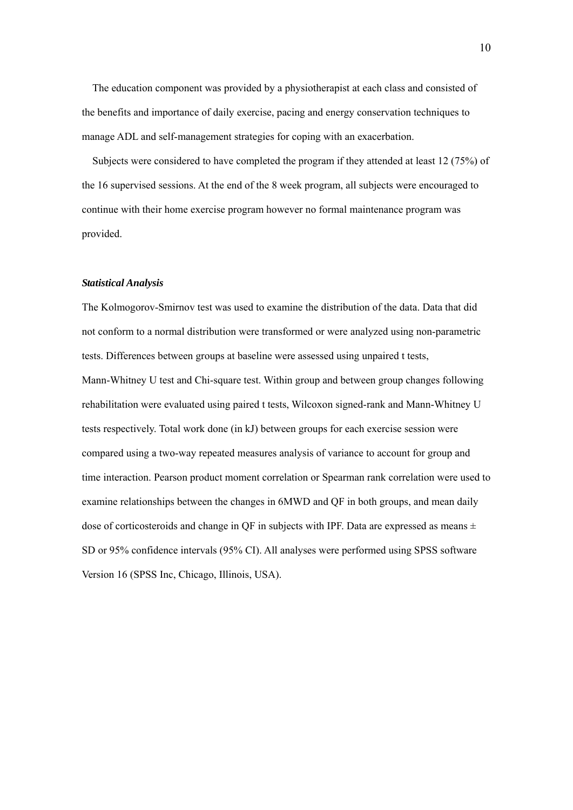The education component was provided by a physiotherapist at each class and consisted of the benefits and importance of daily exercise, pacing and energy conservation techniques to manage ADL and self-management strategies for coping with an exacerbation.

Subjects were considered to have completed the program if they attended at least 12 (75%) of the 16 supervised sessions. At the end of the 8 week program, all subjects were encouraged to continue with their home exercise program however no formal maintenance program was provided.

#### *Statistical Analysis*

The Kolmogorov-Smirnov test was used to examine the distribution of the data. Data that did not conform to a normal distribution were transformed or were analyzed using non-parametric tests. Differences between groups at baseline were assessed using unpaired t tests,

Mann-Whitney U test and Chi-square test. Within group and between group changes following rehabilitation were evaluated using paired t tests, Wilcoxon signed-rank and Mann-Whitney U tests respectively. Total work done (in kJ) between groups for each exercise session were compared using a two-way repeated measures analysis of variance to account for group and time interaction. Pearson product moment correlation or Spearman rank correlation were used to examine relationships between the changes in 6MWD and QF in both groups, and mean daily dose of corticosteroids and change in QF in subjects with IPF. Data are expressed as means  $\pm$ SD or 95% confidence intervals (95% CI). All analyses were performed using SPSS software Version 16 (SPSS Inc, Chicago, Illinois, USA).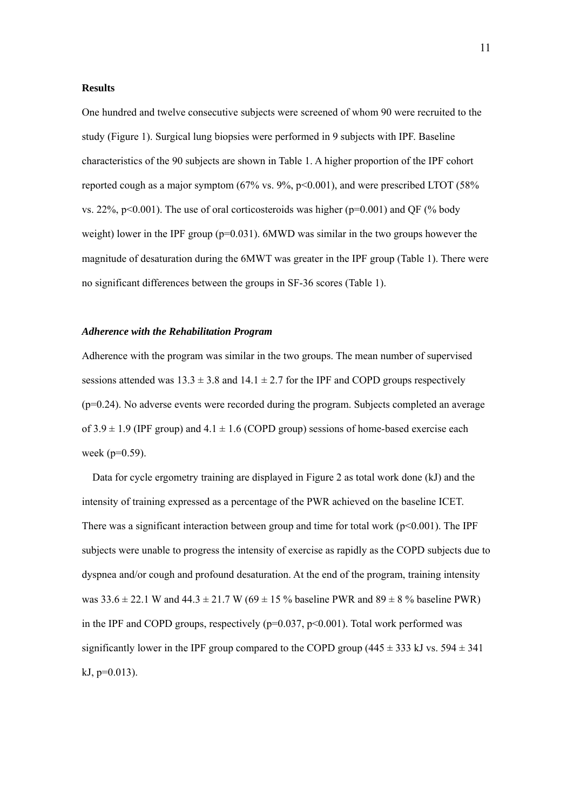#### **Results**

One hundred and twelve consecutive subjects were screened of whom 90 were recruited to the study (Figure 1). Surgical lung biopsies were performed in 9 subjects with IPF. Baseline characteristics of the 90 subjects are shown in Table 1. A higher proportion of the IPF cohort reported cough as a major symptom  $(67\% \text{ vs. } 9\%, \text{ p} < 0.001)$ , and were prescribed LTOT  $(58\%$ vs. 22%,  $p<0.001$ ). The use of oral corticosteroids was higher ( $p=0.001$ ) and QF (% body weight) lower in the IPF group ( $p=0.031$ ). 6MWD was similar in the two groups however the magnitude of desaturation during the 6MWT was greater in the IPF group (Table 1). There were no significant differences between the groups in SF-36 scores (Table 1).

#### *Adherence with the Rehabilitation Program*

Adherence with the program was similar in the two groups. The mean number of supervised sessions attended was  $13.3 \pm 3.8$  and  $14.1 \pm 2.7$  for the IPF and COPD groups respectively (p=0.24). No adverse events were recorded during the program. Subjects completed an average of  $3.9 \pm 1.9$  (IPF group) and  $4.1 \pm 1.6$  (COPD group) sessions of home-based exercise each week (p=0.59).

Data for cycle ergometry training are displayed in Figure 2 as total work done (kJ) and the intensity of training expressed as a percentage of the PWR achieved on the baseline ICET. There was a significant interaction between group and time for total work  $(p<0.001)$ . The IPF subjects were unable to progress the intensity of exercise as rapidly as the COPD subjects due to dyspnea and/or cough and profound desaturation. At the end of the program, training intensity was  $33.6 \pm 22.1$  W and  $44.3 \pm 21.7$  W ( $69 \pm 15$  % baseline PWR and  $89 \pm 8$  % baseline PWR) in the IPF and COPD groups, respectively  $(p=0.037, p<0.001)$ . Total work performed was significantly lower in the IPF group compared to the COPD group (445  $\pm$  333 kJ vs. 594  $\pm$  341  $kJ$ ,  $p=0.013$ ).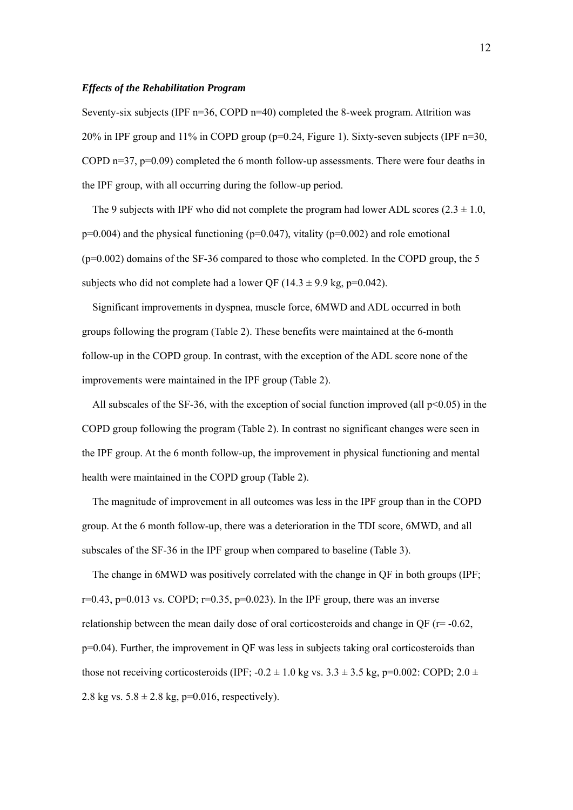#### *Effects of the Rehabilitation Program*

Seventy-six subjects (IPF  $n=36$ , COPD  $n=40$ ) completed the 8-week program. Attrition was 20% in IPF group and 11% in COPD group (p=0.24, Figure 1). Sixty-seven subjects (IPF n=30, COPD n=37,  $p=0.09$ ) completed the 6 month follow-up assessments. There were four deaths in the IPF group, with all occurring during the follow-up period.

The 9 subjects with IPF who did not complete the program had lower ADL scores  $(2.3 \pm 1.0,$  $p=0.004$ ) and the physical functioning ( $p=0.047$ ), vitality ( $p=0.002$ ) and role emotional  $(p=0.002)$  domains of the SF-36 compared to those who completed. In the COPD group, the 5 subjects who did not complete had a lower OF ( $14.3 \pm 9.9$  kg, p=0.042).

Significant improvements in dyspnea, muscle force, 6MWD and ADL occurred in both groups following the program (Table 2). These benefits were maintained at the 6-month follow-up in the COPD group. In contrast, with the exception of the ADL score none of the improvements were maintained in the IPF group (Table 2).

All subscales of the SF-36, with the exception of social function improved (all  $p<0.05$ ) in the COPD group following the program (Table 2). In contrast no significant changes were seen in the IPF group. At the 6 month follow-up, the improvement in physical functioning and mental health were maintained in the COPD group (Table 2).

The magnitude of improvement in all outcomes was less in the IPF group than in the COPD group. At the 6 month follow-up, there was a deterioration in the TDI score, 6MWD, and all subscales of the SF-36 in the IPF group when compared to baseline (Table 3).

The change in 6MWD was positively correlated with the change in QF in both groups (IPF;  $r=0.43$ ,  $p=0.013$  vs. COPD;  $r=0.35$ ,  $p=0.023$ ). In the IPF group, there was an inverse relationship between the mean daily dose of oral corticosteroids and change in QF ( $r = -0.62$ ,  $p=0.04$ ). Further, the improvement in OF was less in subjects taking oral corticosteroids than those not receiving corticosteroids (IPF;  $-0.2 \pm 1.0$  kg vs.  $3.3 \pm 3.5$  kg, p=0.002: COPD;  $2.0 \pm 1.0$ 2.8 kg vs.  $5.8 \pm 2.8$  kg, p=0.016, respectively).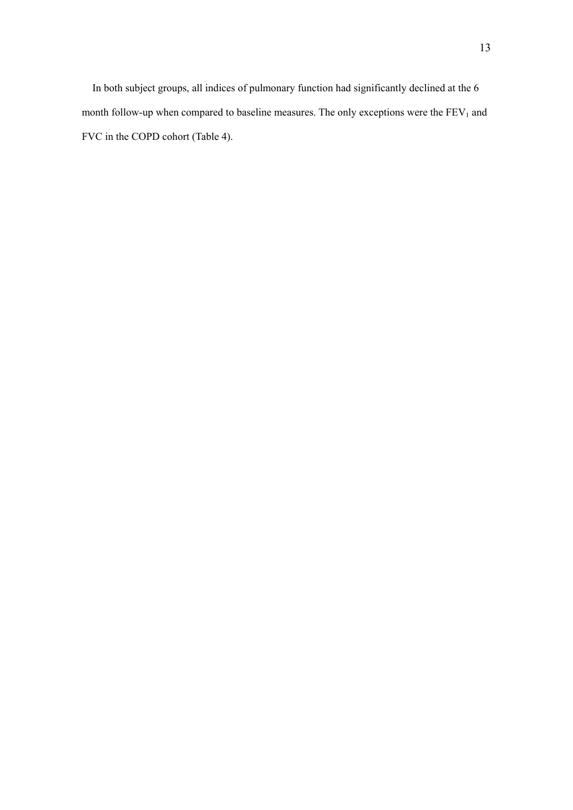In both subject groups, all indices of pulmonary function had significantly declined at the 6 month follow-up when compared to baseline measures. The only exceptions were the  $FEV<sub>1</sub>$  and FVC in the COPD cohort (Table 4).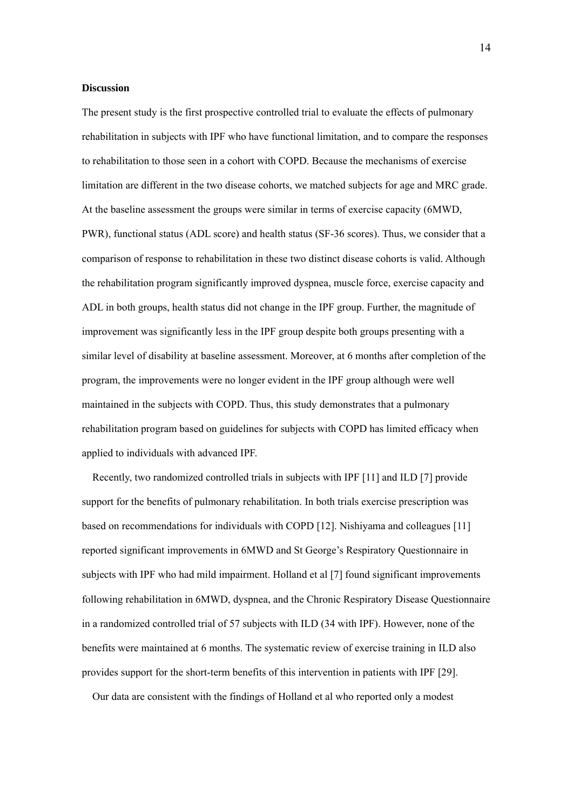#### **Discussion**

The present study is the first prospective controlled trial to evaluate the effects of pulmonary rehabilitation in subjects with IPF who have functional limitation, and to compare the responses to rehabilitation to those seen in a cohort with COPD. Because the mechanisms of exercise limitation are different in the two disease cohorts, we matched subjects for age and MRC grade. At the baseline assessment the groups were similar in terms of exercise capacity (6MWD, PWR), functional status (ADL score) and health status (SF-36 scores). Thus, we consider that a comparison of response to rehabilitation in these two distinct disease cohorts is valid. Although the rehabilitation program significantly improved dyspnea, muscle force, exercise capacity and ADL in both groups, health status did not change in the IPF group. Further, the magnitude of improvement was significantly less in the IPF group despite both groups presenting with a similar level of disability at baseline assessment. Moreover, at 6 months after completion of the program, the improvements were no longer evident in the IPF group although were well maintained in the subjects with COPD. Thus, this study demonstrates that a pulmonary rehabilitation program based on guidelines for subjects with COPD has limited efficacy when applied to individuals with advanced IPF.

Recently, two randomized controlled trials in subjects with IPF [11] and ILD [7] provide support for the benefits of pulmonary rehabilitation. In both trials exercise prescription was based on recommendations for individuals with COPD [12]. Nishiyama and colleagues [11] reported significant improvements in 6MWD and St George's Respiratory Questionnaire in subjects with IPF who had mild impairment. Holland et al [7] found significant improvements following rehabilitation in 6MWD, dyspnea, and the Chronic Respiratory Disease Questionnaire in a randomized controlled trial of 57 subjects with ILD (34 with IPF). However, none of the benefits were maintained at 6 months. The systematic review of exercise training in ILD also provides support for the short-term benefits of this intervention in patients with IPF [29].

Our data are consistent with the findings of Holland et al who reported only a modest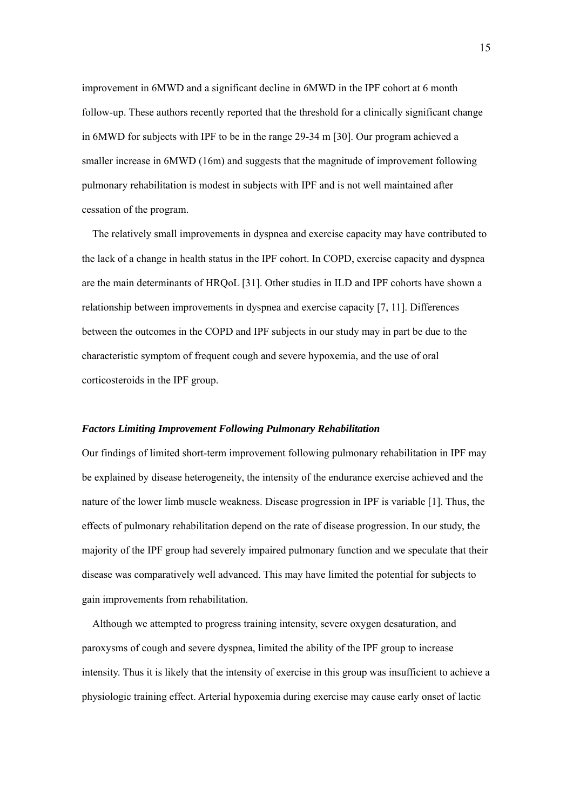improvement in 6MWD and a significant decline in 6MWD in the IPF cohort at 6 month follow-up. These authors recently reported that the threshold for a clinically significant change in 6MWD for subjects with IPF to be in the range 29-34 m [30]. Our program achieved a smaller increase in 6MWD (16m) and suggests that the magnitude of improvement following pulmonary rehabilitation is modest in subjects with IPF and is not well maintained after cessation of the program.

The relatively small improvements in dyspnea and exercise capacity may have contributed to the lack of a change in health status in the IPF cohort. In COPD, exercise capacity and dyspnea are the main determinants of HRQoL [31]. Other studies in ILD and IPF cohorts have shown a relationship between improvements in dyspnea and exercise capacity [7, 11]. Differences between the outcomes in the COPD and IPF subjects in our study may in part be due to the characteristic symptom of frequent cough and severe hypoxemia, and the use of oral corticosteroids in the IPF group.

#### *Factors Limiting Improvement Following Pulmonary Rehabilitation*

Our findings of limited short-term improvement following pulmonary rehabilitation in IPF may be explained by disease heterogeneity, the intensity of the endurance exercise achieved and the nature of the lower limb muscle weakness. Disease progression in IPF is variable [1]. Thus, the effects of pulmonary rehabilitation depend on the rate of disease progression. In our study, the majority of the IPF group had severely impaired pulmonary function and we speculate that their disease was comparatively well advanced. This may have limited the potential for subjects to gain improvements from rehabilitation.

Although we attempted to progress training intensity, severe oxygen desaturation, and paroxysms of cough and severe dyspnea, limited the ability of the IPF group to increase intensity. Thus it is likely that the intensity of exercise in this group was insufficient to achieve a physiologic training effect. Arterial hypoxemia during exercise may cause early onset of lactic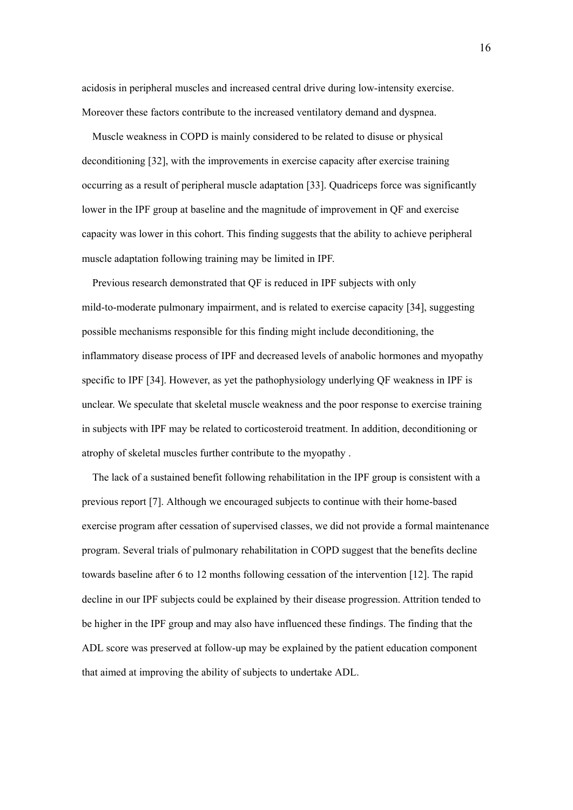acidosis in peripheral muscles and increased central drive during low-intensity exercise. Moreover these factors contribute to the increased ventilatory demand and dyspnea.

Muscle weakness in COPD is mainly considered to be related to disuse or physical deconditioning [32], with the improvements in exercise capacity after exercise training occurring as a result of peripheral muscle adaptation [33]. Quadriceps force was significantly lower in the IPF group at baseline and the magnitude of improvement in QF and exercise capacity was lower in this cohort. This finding suggests that the ability to achieve peripheral muscle adaptation following training may be limited in IPF.

Previous research demonstrated that QF is reduced in IPF subjects with only mild-to-moderate pulmonary impairment, and is related to exercise capacity [34], suggesting possible mechanisms responsible for this finding might include deconditioning, the inflammatory disease process of IPF and decreased levels of anabolic hormones and myopathy specific to IPF [34]. However, as yet the pathophysiology underlying QF weakness in IPF is unclear. We speculate that skeletal muscle weakness and the poor response to exercise training in subjects with IPF may be related to corticosteroid treatment. In addition, deconditioning or atrophy of skeletal muscles further contribute to the myopathy .

The lack of a sustained benefit following rehabilitation in the IPF group is consistent with a previous report [7]. Although we encouraged subjects to continue with their home-based exercise program after cessation of supervised classes, we did not provide a formal maintenance program. Several trials of pulmonary rehabilitation in COPD suggest that the benefits decline towards baseline after 6 to 12 months following cessation of the intervention [12]. The rapid decline in our IPF subjects could be explained by their disease progression. Attrition tended to be higher in the IPF group and may also have influenced these findings. The finding that the ADL score was preserved at follow-up may be explained by the patient education component that aimed at improving the ability of subjects to undertake ADL.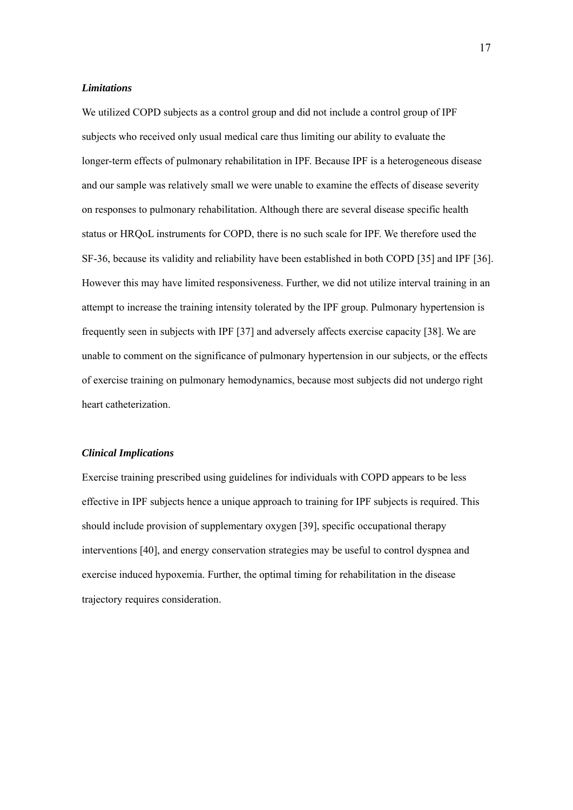#### *Limitations*

We utilized COPD subjects as a control group and did not include a control group of IPF subjects who received only usual medical care thus limiting our ability to evaluate the longer-term effects of pulmonary rehabilitation in IPF. Because IPF is a heterogeneous disease and our sample was relatively small we were unable to examine the effects of disease severity on responses to pulmonary rehabilitation. Although there are several disease specific health status or HRQoL instruments for COPD, there is no such scale for IPF. We therefore used the SF-36, because its validity and reliability have been established in both COPD [35] and IPF [36]. However this may have limited responsiveness. Further, we did not utilize interval training in an attempt to increase the training intensity tolerated by the IPF group. Pulmonary hypertension is frequently seen in subjects with IPF [37] and adversely affects exercise capacity [38]. We are unable to comment on the significance of pulmonary hypertension in our subjects, or the effects of exercise training on pulmonary hemodynamics, because most subjects did not undergo right heart catheterization.

#### *Clinical Implications*

Exercise training prescribed using guidelines for individuals with COPD appears to be less effective in IPF subjects hence a unique approach to training for IPF subjects is required. This should include provision of supplementary oxygen [39], specific occupational therapy interventions [40], and energy conservation strategies may be useful to control dyspnea and exercise induced hypoxemia. Further, the optimal timing for rehabilitation in the disease trajectory requires consideration.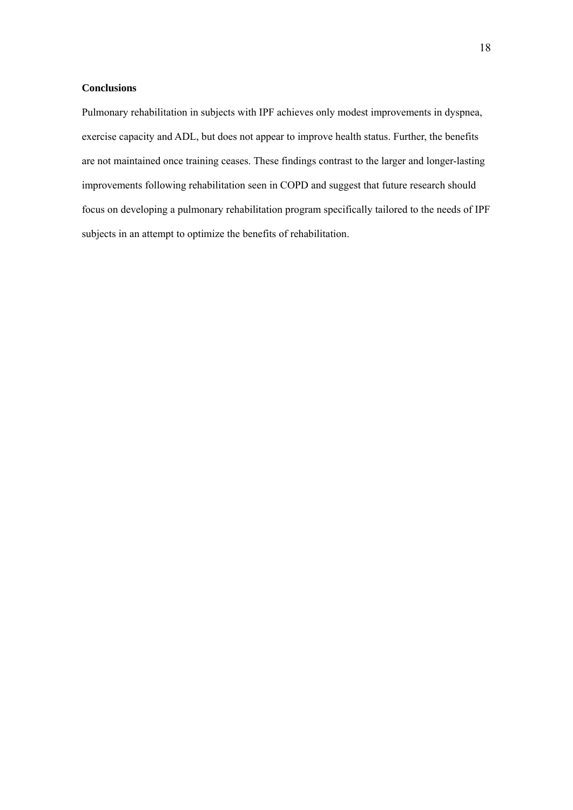## **Conclusions**

Pulmonary rehabilitation in subjects with IPF achieves only modest improvements in dyspnea, exercise capacity and ADL, but does not appear to improve health status. Further, the benefits are not maintained once training ceases. These findings contrast to the larger and longer-lasting improvements following rehabilitation seen in COPD and suggest that future research should focus on developing a pulmonary rehabilitation program specifically tailored to the needs of IPF subjects in an attempt to optimize the benefits of rehabilitation.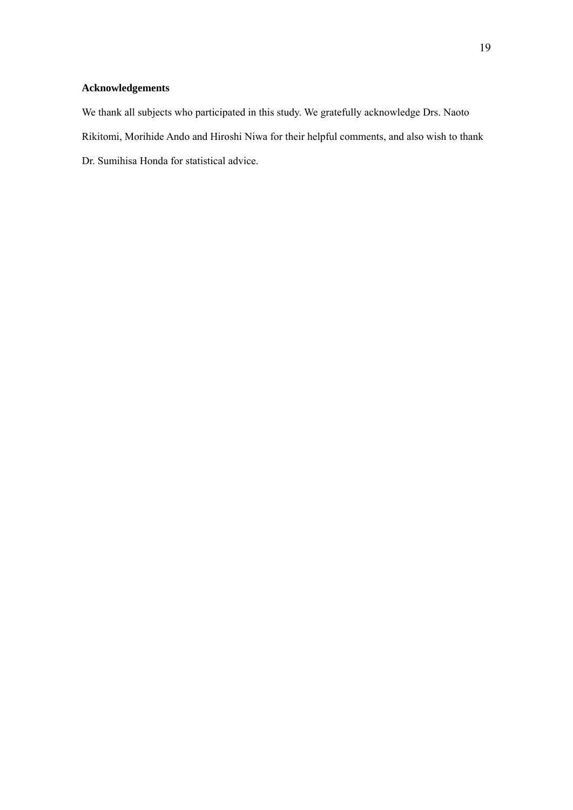# **Acknowledgements**

We thank all subjects who participated in this study. We gratefully acknowledge Drs. Naoto Rikitomi, Morihide Ando and Hiroshi Niwa for their helpful comments, and also wish to thank Dr. Sumihisa Honda for statistical advice.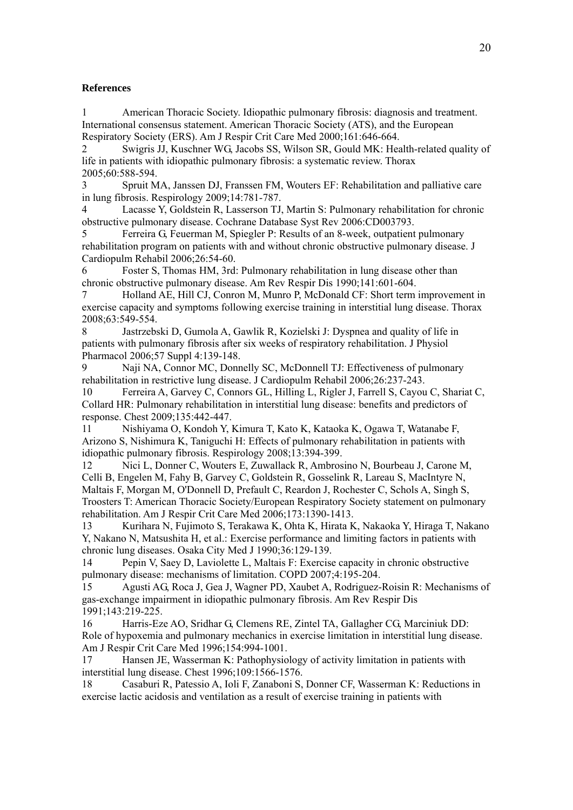#### **References**

1 American Thoracic Society. Idiopathic pulmonary fibrosis: diagnosis and treatment. International consensus statement. American Thoracic Society (ATS), and the European Respiratory Society (ERS). Am J Respir Crit Care Med 2000;161:646-664.

2 Swigris JJ, Kuschner WG, Jacobs SS, Wilson SR, Gould MK: Health-related quality of life in patients with idiopathic pulmonary fibrosis: a systematic review. Thorax 2005;60:588-594.

3 Spruit MA, Janssen DJ, Franssen FM, Wouters EF: Rehabilitation and palliative care in lung fibrosis. Respirology 2009;14:781-787.

4 Lacasse Y, Goldstein R, Lasserson TJ, Martin S: Pulmonary rehabilitation for chronic obstructive pulmonary disease. Cochrane Database Syst Rev 2006:CD003793.

5 Ferreira G, Feuerman M, Spiegler P: Results of an 8-week, outpatient pulmonary rehabilitation program on patients with and without chronic obstructive pulmonary disease. J Cardiopulm Rehabil 2006;26:54-60.

6 Foster S, Thomas HM, 3rd: Pulmonary rehabilitation in lung disease other than chronic obstructive pulmonary disease. Am Rev Respir Dis 1990;141:601-604.

7 Holland AE, Hill CJ, Conron M, Munro P, McDonald CF: Short term improvement in exercise capacity and symptoms following exercise training in interstitial lung disease. Thorax 2008;63:549-554.

8 Jastrzebski D, Gumola A, Gawlik R, Kozielski J: Dyspnea and quality of life in patients with pulmonary fibrosis after six weeks of respiratory rehabilitation. J Physiol Pharmacol 2006;57 Suppl 4:139-148.

9 Naji NA, Connor MC, Donnelly SC, McDonnell TJ: Effectiveness of pulmonary rehabilitation in restrictive lung disease. J Cardiopulm Rehabil 2006;26:237-243.

10 Ferreira A, Garvey C, Connors GL, Hilling L, Rigler J, Farrell S, Cayou C, Shariat C, Collard HR: Pulmonary rehabilitation in interstitial lung disease: benefits and predictors of response. Chest 2009;135:442-447.

11 Nishiyama O, Kondoh Y, Kimura T, Kato K, Kataoka K, Ogawa T, Watanabe F, Arizono S, Nishimura K, Taniguchi H: Effects of pulmonary rehabilitation in patients with idiopathic pulmonary fibrosis. Respirology 2008;13:394-399.

12 Nici L, Donner C, Wouters E, Zuwallack R, Ambrosino N, Bourbeau J, Carone M, Celli B, Engelen M, Fahy B, Garvey C, Goldstein R, Gosselink R, Lareau S, MacIntyre N, Maltais F, Morgan M, O'Donnell D, Prefault C, Reardon J, Rochester C, Schols A, Singh S, Troosters T: American Thoracic Society/European Respiratory Society statement on pulmonary rehabilitation. Am J Respir Crit Care Med 2006;173:1390-1413.

13 Kurihara N, Fujimoto S, Terakawa K, Ohta K, Hirata K, Nakaoka Y, Hiraga T, Nakano Y, Nakano N, Matsushita H, et al.: Exercise performance and limiting factors in patients with chronic lung diseases. Osaka City Med J 1990;36:129-139.

14 Pepin V, Saey D, Laviolette L, Maltais F: Exercise capacity in chronic obstructive pulmonary disease: mechanisms of limitation. COPD 2007;4:195-204.

15 Agusti AG, Roca J, Gea J, Wagner PD, Xaubet A, Rodriguez-Roisin R: Mechanisms of gas-exchange impairment in idiopathic pulmonary fibrosis. Am Rev Respir Dis 1991;143:219-225.

16 Harris-Eze AO, Sridhar G, Clemens RE, Zintel TA, Gallagher CG, Marciniuk DD: Role of hypoxemia and pulmonary mechanics in exercise limitation in interstitial lung disease. Am J Respir Crit Care Med 1996;154:994-1001.

17 Hansen JE, Wasserman K: Pathophysiology of activity limitation in patients with interstitial lung disease. Chest 1996;109:1566-1576.

18 Casaburi R, Patessio A, Ioli F, Zanaboni S, Donner CF, Wasserman K: Reductions in exercise lactic acidosis and ventilation as a result of exercise training in patients with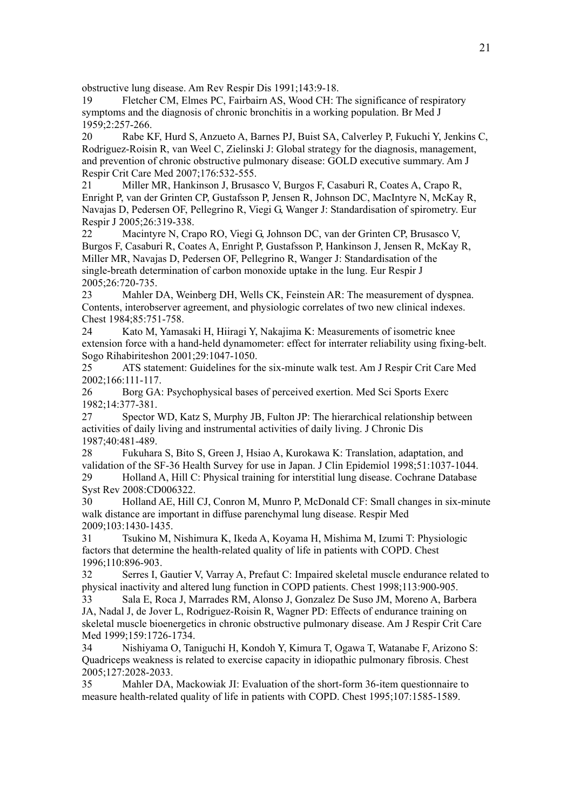obstructive lung disease. Am Rev Respir Dis 1991;143:9-18.

19 Fletcher CM, Elmes PC, Fairbairn AS, Wood CH: The significance of respiratory symptoms and the diagnosis of chronic bronchitis in a working population. Br Med J 1959;2:257-266.

20 Rabe KF, Hurd S, Anzueto A, Barnes PJ, Buist SA, Calverley P, Fukuchi Y, Jenkins C, Rodriguez-Roisin R, van Weel C, Zielinski J: Global strategy for the diagnosis, management, and prevention of chronic obstructive pulmonary disease: GOLD executive summary. Am J Respir Crit Care Med 2007;176:532-555.

21 Miller MR, Hankinson J, Brusasco V, Burgos F, Casaburi R, Coates A, Crapo R, Enright P, van der Grinten CP, Gustafsson P, Jensen R, Johnson DC, MacIntyre N, McKay R, Navajas D, Pedersen OF, Pellegrino R, Viegi G, Wanger J: Standardisation of spirometry. Eur Respir J 2005;26:319-338.

22 Macintyre N, Crapo RO, Viegi G, Johnson DC, van der Grinten CP, Brusasco V, Burgos F, Casaburi R, Coates A, Enright P, Gustafsson P, Hankinson J, Jensen R, McKay R, Miller MR, Navajas D, Pedersen OF, Pellegrino R, Wanger J: Standardisation of the single-breath determination of carbon monoxide uptake in the lung. Eur Respir J 2005;26:720-735.

23 Mahler DA, Weinberg DH, Wells CK, Feinstein AR: The measurement of dyspnea. Contents, interobserver agreement, and physiologic correlates of two new clinical indexes. Chest 1984;85:751-758.

24 Kato M, Yamasaki H, Hiiragi Y, Nakajima K: Measurements of isometric knee extension force with a hand-held dynamometer: effect for interrater reliability using fixing-belt. Sogo Rihabiriteshon 2001;29:1047-1050.

25 ATS statement: Guidelines for the six-minute walk test. Am J Respir Crit Care Med 2002;166:111-117.

26 Borg GA: Psychophysical bases of perceived exertion. Med Sci Sports Exerc 1982;14:377-381.

27 Spector WD, Katz S, Murphy JB, Fulton JP: The hierarchical relationship between activities of daily living and instrumental activities of daily living. J Chronic Dis 1987;40:481-489.

28 Fukuhara S, Bito S, Green J, Hsiao A, Kurokawa K: Translation, adaptation, and validation of the SF-36 Health Survey for use in Japan. J Clin Epidemiol 1998;51:1037-1044. 29 Holland A, Hill C: Physical training for interstitial lung disease. Cochrane Database

Syst Rev 2008:CD006322.

30 Holland AE, Hill CJ, Conron M, Munro P, McDonald CF: Small changes in six-minute walk distance are important in diffuse parenchymal lung disease. Respir Med 2009;103:1430-1435.

31 Tsukino M, Nishimura K, Ikeda A, Koyama H, Mishima M, Izumi T: Physiologic factors that determine the health-related quality of life in patients with COPD. Chest 1996;110:896-903.

32 Serres I, Gautier V, Varray A, Prefaut C: Impaired skeletal muscle endurance related to physical inactivity and altered lung function in COPD patients. Chest 1998;113:900-905.

33 Sala E, Roca J, Marrades RM, Alonso J, Gonzalez De Suso JM, Moreno A, Barbera JA, Nadal J, de Jover L, Rodriguez-Roisin R, Wagner PD: Effects of endurance training on skeletal muscle bioenergetics in chronic obstructive pulmonary disease. Am J Respir Crit Care Med 1999;159:1726-1734.

34 Nishiyama O, Taniguchi H, Kondoh Y, Kimura T, Ogawa T, Watanabe F, Arizono S: Quadriceps weakness is related to exercise capacity in idiopathic pulmonary fibrosis. Chest 2005;127:2028-2033.

35 Mahler DA, Mackowiak JI: Evaluation of the short-form 36-item questionnaire to measure health-related quality of life in patients with COPD. Chest 1995;107:1585-1589.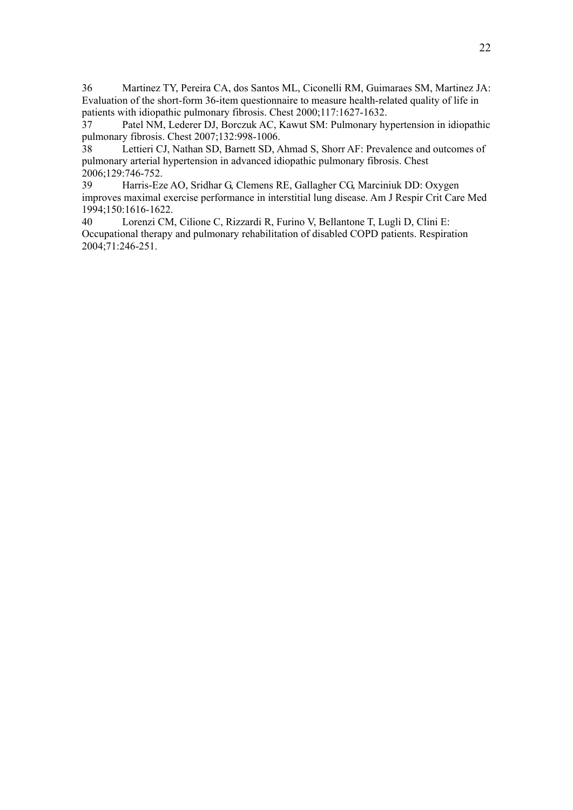36 Martinez TY, Pereira CA, dos Santos ML, Ciconelli RM, Guimaraes SM, Martinez JA: Evaluation of the short-form 36-item questionnaire to measure health-related quality of life in patients with idiopathic pulmonary fibrosis. Chest 2000;117:1627-1632.

37 Patel NM, Lederer DJ, Borczuk AC, Kawut SM: Pulmonary hypertension in idiopathic pulmonary fibrosis. Chest 2007;132:998-1006.

38 Lettieri CJ, Nathan SD, Barnett SD, Ahmad S, Shorr AF: Prevalence and outcomes of pulmonary arterial hypertension in advanced idiopathic pulmonary fibrosis. Chest 2006;129:746-752.

39 Harris-Eze AO, Sridhar G, Clemens RE, Gallagher CG, Marciniuk DD: Oxygen improves maximal exercise performance in interstitial lung disease. Am J Respir Crit Care Med 1994;150:1616-1622.

40 Lorenzi CM, Cilione C, Rizzardi R, Furino V, Bellantone T, Lugli D, Clini E: Occupational therapy and pulmonary rehabilitation of disabled COPD patients. Respiration 2004;71:246-251.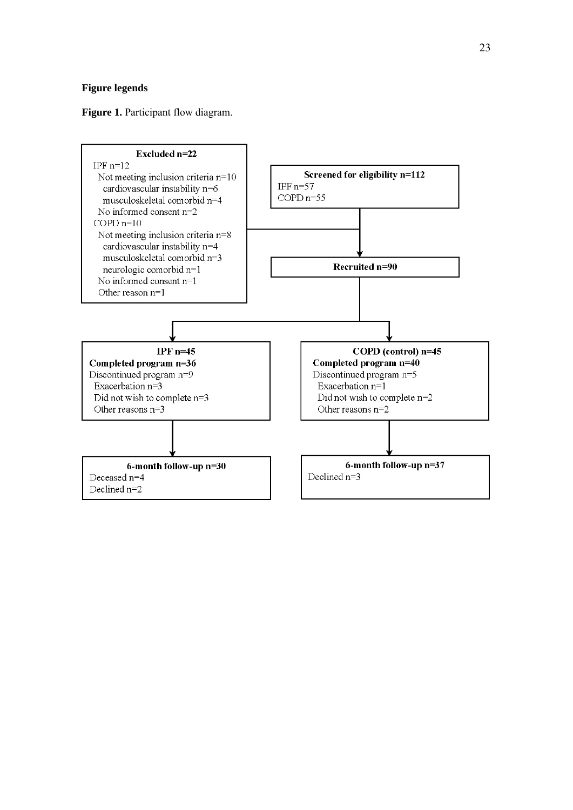## **Figure legends**

#### Figure 1. Participant flow diagram.

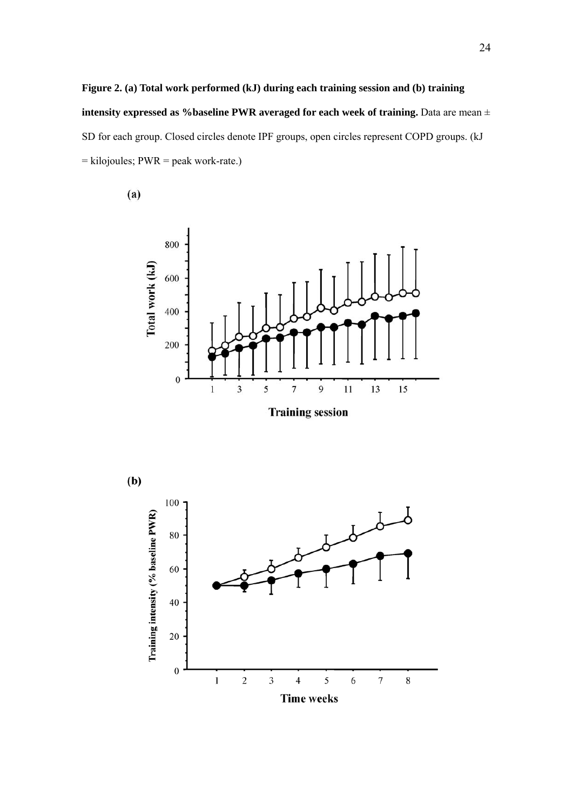# **Figure 2. (a) Total work performed (kJ) during each training session and (b) training intensity expressed as %baseline PWR averaged for each week of training.** Data are mean  $\pm$ SD for each group. Closed circles denote IPF groups, open circles represent COPD groups. (kJ = kilojoules; PWR = peak work-rate.)

 $(a)$ 



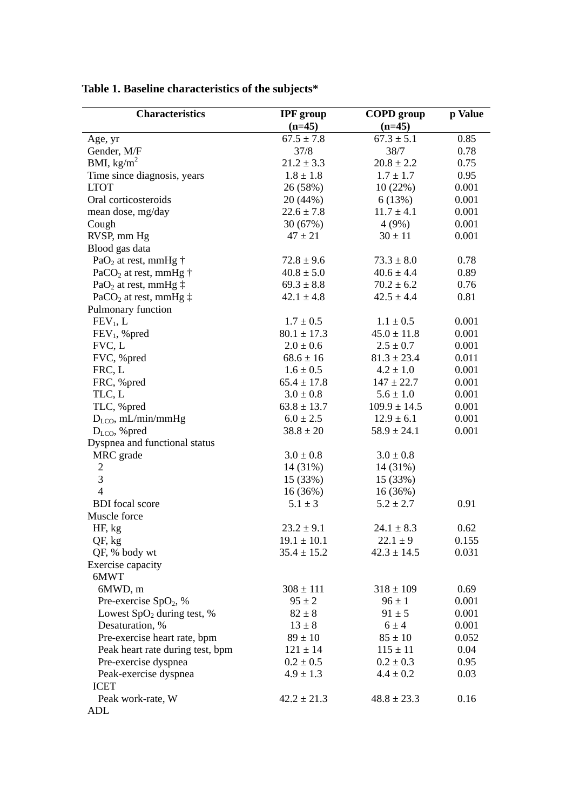| <b>Characteristics</b>                     | <b>IPF</b> group | <b>COPD</b> group | p Value |
|--------------------------------------------|------------------|-------------------|---------|
|                                            | $(n=45)$         | $(n=45)$          |         |
| Age, yr                                    | $67.5 \pm 7.8$   | $67.3 \pm 5.1$    | 0.85    |
| Gender, M/F                                | 37/8             | 38/7              | 0.78    |
| BMI, $\text{kg/m}^2$                       | $21.2 \pm 3.3$   | $20.8 \pm 2.2$    | 0.75    |
| Time since diagnosis, years                | $1.8 \pm 1.8$    | $1.7 \pm 1.7$     | 0.95    |
| <b>LTOT</b>                                | 26 (58%)         | 10(22%)           | 0.001   |
| Oral corticosteroids                       | 20 (44%)         | 6(13%)            | 0.001   |
| mean dose, mg/day                          | $22.6 \pm 7.8$   | $11.7 \pm 4.1$    | 0.001   |
| Cough                                      | 30 (67%)         | 4(9%)             | 0.001   |
| RVSP, mm Hg                                | $47 \pm 21$      | $30 \pm 11$       | 0.001   |
| Blood gas data                             |                  |                   |         |
| PaO <sub>2</sub> at rest, mmHg $\dagger$   | $72.8 \pm 9.6$   | $73.3 \pm 8.0$    | 0.78    |
| PaCO <sub>2</sub> at rest, mmHg $\dagger$  | $40.8 \pm 5.0$   | $40.6 \pm 4.4$    | 0.89    |
| PaO <sub>2</sub> at rest, mmHg $\ddagger$  | $69.3 \pm 8.8$   | $70.2 \pm 6.2$    | 0.76    |
| PaCO <sub>2</sub> at rest, mmHg $\ddagger$ | $42.1 \pm 4.8$   | $42.5 \pm 4.4$    | 0.81    |
| Pulmonary function                         |                  |                   |         |
| FEV <sub>1</sub> , L                       | $1.7 \pm 0.5$    | $1.1 \pm 0.5$     | 0.001   |
| $FEV1$ , % pred                            | $80.1 \pm 17.3$  | $45.0 \pm 11.8$   | 0.001   |
| FVC, L                                     | $2.0 \pm 0.6$    | $2.5 \pm 0.7$     | 0.001   |
| FVC, %pred                                 | $68.6 \pm 16$    | $81.3 \pm 23.4$   | 0.011   |
| FRC, L                                     | $1.6 \pm 0.5$    | $4.2 \pm 1.0$     | 0.001   |
| FRC, %pred                                 | $65.4 \pm 17.8$  | $147 \pm 22.7$    | 0.001   |
| TLC, L                                     | $3.0 \pm 0.8$    | $5.6 \pm 1.0$     | 0.001   |
| TLC, %pred                                 | $63.8 \pm 13.7$  | $109.9 \pm 14.5$  | 0.001   |
| $D_{LCO}$ , mL/min/mmHg                    | $6.0 \pm 2.5$    | $12.9 \pm 6.1$    | 0.001   |
| $D_{LCO}$ , % pred                         | $38.8 \pm 20$    | $58.9 \pm 24.1$   | 0.001   |
| Dyspnea and functional status              |                  |                   |         |
| MRC grade                                  | $3.0 \pm 0.8$    | $3.0 \pm 0.8$     |         |
| 2                                          | 14 (31%)         | 14 (31%)          |         |
| 3                                          | 15 (33%)         | 15 (33%)          |         |
| $\overline{4}$                             | 16(36%)          | 16(36%)           |         |
| <b>BDI</b> focal score                     | $5.1 \pm 3$      | $5.2 \pm 2.7$     | 0.91    |
| Muscle force                               |                  |                   |         |
|                                            | $23.2 \pm 9.1$   | $24.1 \pm 8.3$    | 0.62    |
| HF, kg                                     | $19.1 \pm 10.1$  | $22.1 \pm 9$      | 0.155   |
| QF, kg                                     | $35.4 \pm 15.2$  |                   | 0.031   |
| QF, % body wt                              |                  | $42.3 \pm 14.5$   |         |
| Exercise capacity<br>6MWT                  |                  |                   |         |
| 6MWD, m                                    | $308 \pm 111$    | $318 \pm 109$     | 0.69    |
|                                            |                  |                   |         |
| Pre-exercise SpO <sub>2</sub> , %          | $95 \pm 2$       | $96 \pm 1$        | 0.001   |
| Lowest $SpO2$ during test, %               | $82 \pm 8$       | $91 \pm 5$        | 0.001   |
| Desaturation, %                            | $13 \pm 8$       | $6 \pm 4$         | 0.001   |
| Pre-exercise heart rate, bpm               | $89 \pm 10$      | $85 \pm 10$       | 0.052   |
| Peak heart rate during test, bpm           | $121 \pm 14$     | $115 \pm 11$      | 0.04    |
| Pre-exercise dyspnea                       | $0.2 \pm 0.5$    | $0.2 \pm 0.3$     | 0.95    |
| Peak-exercise dyspnea                      | $4.9 \pm 1.3$    | $4.4 \pm 0.2$     | 0.03    |
| <b>ICET</b>                                |                  |                   |         |
| Peak work-rate, W                          | $42.2 \pm 21.3$  | $48.8 \pm 23.3$   | 0.16    |
| ADL                                        |                  |                   |         |

**Table 1. Baseline characteristics of the subjects\***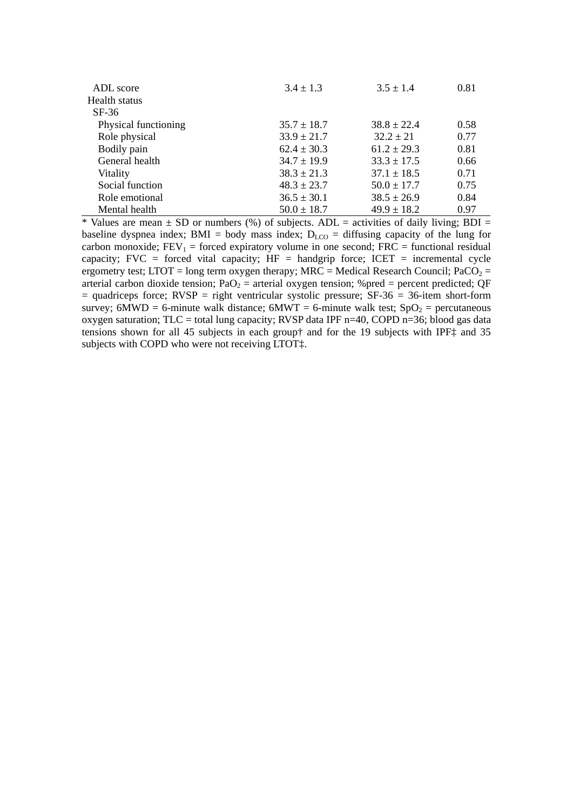| ADL score            | $3.4 \pm 1.3$   | $3.5 \pm 1.4$   | 0.81 |
|----------------------|-----------------|-----------------|------|
| Health status        |                 |                 |      |
| $SF-36$              |                 |                 |      |
| Physical functioning | $35.7 \pm 18.7$ | $38.8 \pm 22.4$ | 0.58 |
| Role physical        | $33.9 \pm 21.7$ | $32.2 \pm 21$   | 0.77 |
| Bodily pain          | $62.4 \pm 30.3$ | $61.2 \pm 29.3$ | 0.81 |
| General health       | $34.7 \pm 19.9$ | $33.3 \pm 17.5$ | 0.66 |
| Vitality             | $38.3 \pm 21.3$ | $37.1 \pm 18.5$ | 0.71 |
| Social function      | $48.3 \pm 23.7$ | $50.0 \pm 17.7$ | 0.75 |
| Role emotional       | $36.5 \pm 30.1$ | $38.5 \pm 26.9$ | 0.84 |
| Mental health        | $50.0 \pm 18.7$ | $49.9 \pm 18.2$ | 0.97 |

\* Values are mean  $\pm$  SD or numbers (%) of subjects. ADL = activities of daily living; BDI = baseline dyspnea index; BMI = body mass index;  $D_{LCO}$  = diffusing capacity of the lung for carbon monoxide;  $FEV_1 =$  forced expiratory volume in one second;  $FRC =$  functional residual capacity; FVC = forced vital capacity;  $HF =$  handgrip force; ICET = incremental cycle ergometry test; LTOT = long term oxygen therapy; MRC = Medical Research Council; PaCO<sub>2</sub> = arterial carbon dioxide tension;  $PaO<sub>2</sub>$  = arterial oxygen tension; %pred = percent predicted; QF  $=$  quadriceps force; RVSP  $=$  right ventricular systolic pressure; SF-36  $=$  36-item short-form survey; 6MWD = 6-minute walk distance; 6MWT = 6-minute walk test;  $SpO<sub>2</sub>$  = percutaneous oxygen saturation;  $TLC =$  total lung capacity; RVSP data IPF n=40, COPD n=36; blood gas data tensions shown for all 45 subjects in each group† and for the 19 subjects with IPF‡ and 35 subjects with COPD who were not receiving LTOT‡.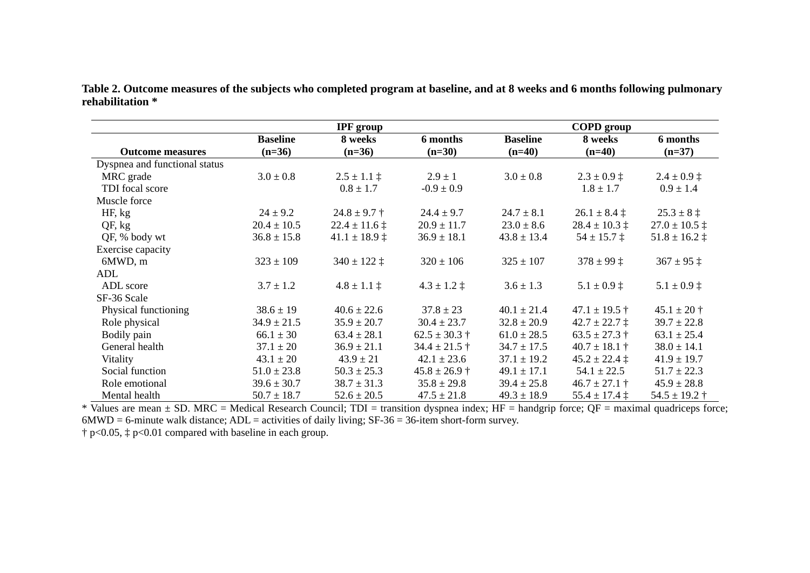| Table 2. Outcome measures of the subjects who completed program at baseline, and at 8 weeks and 6 months following pulmonary |  |
|------------------------------------------------------------------------------------------------------------------------------|--|
| rehabilitation *                                                                                                             |  |

|                               |                 | <b>IPF</b> group      |                       |                 | <b>COPD</b> group        |                         |
|-------------------------------|-----------------|-----------------------|-----------------------|-----------------|--------------------------|-------------------------|
|                               | <b>Baseline</b> | 8 weeks               | 6 months              | <b>Baseline</b> | 8 weeks                  | 6 months                |
| <b>Outcome measures</b>       | $(n=36)$        | $(n=36)$              | $(n=30)$              | $(n=40)$        | $(n=40)$                 | $(n=37)$                |
| Dyspnea and functional status |                 |                       |                       |                 |                          |                         |
| MRC grade                     | $3.0 \pm 0.8$   | $2.5 \pm 1.1 \pm$     | $2.9 \pm 1$           | $3.0 \pm 0.8$   | $2.3 \pm 0.9$ $\ddagger$ | $2.4 \pm 0.9 \pm$       |
| TDI focal score               |                 | $0.8 \pm 1.7$         | $-0.9 \pm 0.9$        |                 | $1.8 \pm 1.7$            | $0.9 \pm 1.4$           |
| Muscle force                  |                 |                       |                       |                 |                          |                         |
| HF, kg                        | $24 \pm 9.2$    | $24.8 \pm 9.7 \pm 1$  | $24.4 \pm 9.7$        | $24.7 \pm 8.1$  | $26.1 \pm 8.4 \pm 1$     | $25.3 \pm 8 \ddagger$   |
| QF, kg                        | $20.4 \pm 10.5$ | $22.4 \pm 11.6 \pm 1$ | $20.9 \pm 11.7$       | $23.0 \pm 8.6$  | $28.4 \pm 10.3 \pm 1$    | $27.0 \pm 10.5$ ‡       |
| QF, % body wt                 | $36.8 \pm 15.8$ | $41.1 \pm 18.9 \pm$   | $36.9 \pm 18.1$       | $43.8 \pm 13.4$ | $54 \pm 15.7 \pm 1$      | $51.8 \pm 16.2 \pm 1$   |
| Exercise capacity             |                 |                       |                       |                 |                          |                         |
| 6MWD, m                       | $323 \pm 109$   | $340 \pm 122 \pm 1$   | $320 \pm 106$         | $325 \pm 107$   | $378 \pm 99$ $\ddagger$  | $367 \pm 95$ ‡          |
| ADL                           |                 |                       |                       |                 |                          |                         |
| ADL score                     | $3.7 \pm 1.2$   | $4.8 \pm 1.1 \pm$     | $4.3 \pm 1.2 \pm$     | $3.6 \pm 1.3$   | $5.1 \pm 0.9$ ‡          | $5.1 \pm 0.9 \pm 1$     |
| SF-36 Scale                   |                 |                       |                       |                 |                          |                         |
| Physical functioning          | $38.6 \pm 19$   | $40.6 \pm 22.6$       | $37.8 \pm 23$         | $40.1 \pm 21.4$ | $47.1 \pm 19.5 \pm 1$    | $45.1 \pm 20$ †         |
| Role physical                 | $34.9 \pm 21.5$ | $35.9 \pm 20.7$       | $30.4 \pm 23.7$       | $32.8 \pm 20.9$ | $42.7 \pm 22.7 \pm$      | $39.7 \pm 22.8$         |
| Bodily pain                   | $66.1 \pm 30$   | $63.4 \pm 28.1$       | $62.5 \pm 30.3 \pm 1$ | $61.0 \pm 28.5$ | $63.5 \pm 27.3 \pm 1$    | $63.1 \pm 25.4$         |
| General health                | $37.1 \pm 20$   | $36.9 \pm 21.1$       | $34.4 \pm 21.5 \pm$   | $34.7 \pm 17.5$ | $40.7 \pm 18.1 \pm 1$    | $38.0 \pm 14.1$         |
| Vitality                      | $43.1 \pm 20$   | $43.9 \pm 21$         | $42.1 \pm 23.6$       | $37.1 \pm 19.2$ | $45.2 \pm 22.4 \pm 1$    | $41.9 \pm 19.7$         |
| Social function               | $51.0 \pm 23.8$ | $50.3 \pm 25.3$       | $45.8 \pm 26.9 \pm 1$ | $49.1 \pm 17.1$ | $54.1 \pm 22.5$          | $51.7 \pm 22.3$         |
| Role emotional                | $39.6 \pm 30.7$ | $38.7 \pm 31.3$       | $35.8 \pm 29.8$       | $39.4 \pm 25.8$ | $46.7 \pm 27.1 \pm 1$    | $45.9 \pm 28.8$         |
| Mental health                 | $50.7 \pm 18.7$ | $52.6 \pm 20.5$       | $47.5 \pm 21.8$       | $49.3 \pm 18.9$ | $55.4 \pm 17.4 \pm 1$    | $54.5 \pm 19.2 \dagger$ |

\* Values are mean  $\pm$  SD. MRC = Medical Research Council; TDI = transition dyspnea index; HF = handgrip force; QF = maximal quadriceps force;  $6MWD = 6$ -minute walk distance;  $ADL =$  activities of daily living;  $SF-36 = 36$ -item short-form survey.

† p<0.05, ‡ p<0.01 compared with baseline in each group.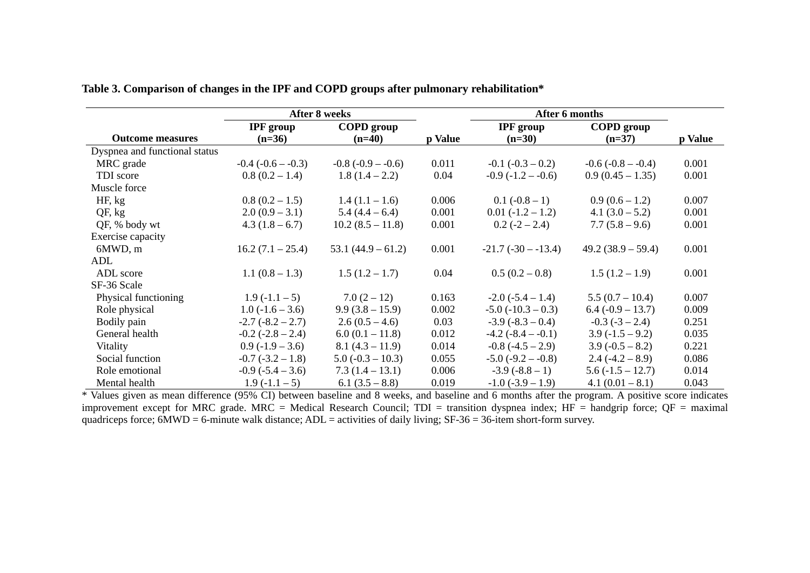|                               | <b>After 8 weeks</b>     |                     |         | After 6 months           |                      |         |
|-------------------------------|--------------------------|---------------------|---------|--------------------------|----------------------|---------|
|                               | <b>IPF</b> group         | <b>COPD</b> group   |         | <b>IPF</b> group         | <b>COPD</b> group    |         |
| <b>Outcome measures</b>       | $(n=36)$                 | $(n=40)$            | p Value | $(n=30)$                 | $(n=37)$             | p Value |
| Dyspnea and functional status |                          |                     |         |                          |                      |         |
| MRC grade                     | $-0.4$ ( $-0.6 - -0.3$ ) | $-0.8(-0.9 - 0.6)$  | 0.011   | $-0.1$ $(-0.3 - 0.2)$    | $-0.6(-0.8 - 0.4)$   | 0.001   |
| TDI score                     | $0.8(0.2 - 1.4)$         | $1.8(1.4-2.2)$      | 0.04    | $-0.9(-1.2 - 0.6)$       | $0.9(0.45-1.35)$     | 0.001   |
| Muscle force                  |                          |                     |         |                          |                      |         |
| HF, kg                        | $0.8(0.2-1.5)$           | $1.4(1.1-1.6)$      | 0.006   | $0.1(-0.8-1)$            | $0.9(0.6-1.2)$       | 0.007   |
| QF, kg                        | $2.0(0.9-3.1)$           | $5.4(4.4-6.4)$      | 0.001   | $0.01(-1.2 - 1.2)$       | $4.1 (3.0 - 5.2)$    | 0.001   |
| QF, % body wt                 | $4.3(1.8-6.7)$           | $10.2(8.5-11.8)$    | 0.001   | $0.2(-2 - 2.4)$          | $7.7(5.8-9.6)$       | 0.001   |
| Exercise capacity             |                          |                     |         |                          |                      |         |
| 6MWD, m                       | $16.2 (7.1 - 25.4)$      | $53.1(44.9 - 61.2)$ | 0.001   | $-21.7(-30 - 13.4)$      | $49.2 (38.9 - 59.4)$ | 0.001   |
| ADL                           |                          |                     |         |                          |                      |         |
| ADL score                     | $1.1(0.8-1.3)$           | $1.5(1.2 - 1.7)$    | 0.04    | $0.5(0.2-0.8)$           | $1.5(1.2-1.9)$       | 0.001   |
| SF-36 Scale                   |                          |                     |         |                          |                      |         |
| Physical functioning          | $1.9(-1.1-5)$            | $7.0(2-12)$         | 0.163   | $-2.0$ ( $-5.4 - 1.4$ )  | $5.5(0.7-10.4)$      | 0.007   |
| Role physical                 | $1.0(-1.6-3.6)$          | $9.9(3.8-15.9)$     | 0.002   | $-5.0$ ( $-10.3 - 0.3$ ) | $6.4 (-0.9 - 13.7)$  | 0.009   |
| Bodily pain                   | $-2.7(-8.2 - 2.7)$       | $2.6(0.5-4.6)$      | 0.03    | $-3.9(-8.3-0.4)$         | $-0.3$ $(-3 - 2.4)$  | 0.251   |
| General health                | $-0.2$ $(-2.8 - 2.4)$    | $6.0(0.1 - 11.8)$   | 0.012   | $-4.2$ ( $-8.4 - 0.1$ )  | $3.9(-1.5-9.2)$      | 0.035   |
| Vitality                      | $0.9(-1.9 - 3.6)$        | $8.1(4.3 - 11.9)$   | 0.014   | $-0.8$ $(-4.5 - 2.9)$    | $3.9(-0.5 - 8.2)$    | 0.221   |
| Social function               | $-0.7$ $(-3.2 - 1.8)$    | $5.0(-0.3 - 10.3)$  | 0.055   | $-5.0$ ( $-9.2 - 0.8$ )  | $2.4(-4.2 - 8.9)$    | 0.086   |
| Role emotional                | $-0.9$ ( $-5.4 - 3.6$ )  | $7.3(1.4-13.1)$     | 0.006   | $-3.9(-8.8-1)$           | $5.6(-1.5-12.7)$     | 0.014   |
| Mental health                 | $1.9(-1.1-5)$            | $6.1 (3.5 - 8.8)$   | 0.019   | $-1.0$ $(-3.9 - 1.9)$    | $4.1(0.01 - 8.1)$    | 0.043   |

**Table 3. Comparison of changes in the IPF and COPD groups after pulmonary rehabilitation\*** 

\* Values given as mean difference (95% CI) between baseline and 8 weeks, and baseline and 6 months after the program. A positive score indicates improvement except for MRC grade. MRC = Medical Research Council; TDI = transition dyspnea index; HF = handgrip force; QF = maximal quadriceps force;  $6MWD = 6$ -minute walk distance;  $ADL =$  activities of daily living;  $SF-36 = 36$ -item short-form survey.